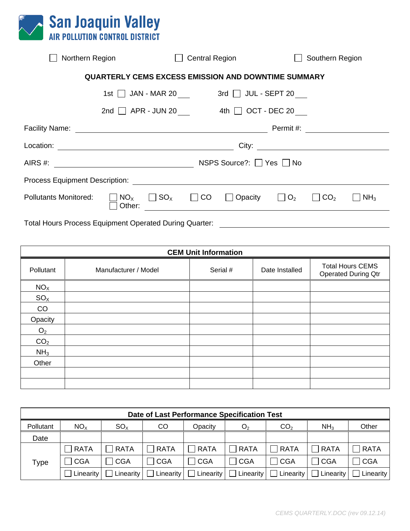

| Northern Region                                    |                                                               |                                  | <b>Central Region</b>              |              | Southern Region        |                 |  |  |  |
|----------------------------------------------------|---------------------------------------------------------------|----------------------------------|------------------------------------|--------------|------------------------|-----------------|--|--|--|
|                                                    | <b>QUARTERLY CEMS EXCESS EMISSION AND DOWNTIME SUMMARY</b>    |                                  |                                    |              |                        |                 |  |  |  |
|                                                    | $1st$ JAN - MAR 20 3rd JUL - SEPT 20                          |                                  |                                    |              |                        |                 |  |  |  |
|                                                    | 2nd $\Box$ APR - JUN 20 4th $\Box$ OCT - DEC 20               |                                  |                                    |              |                        |                 |  |  |  |
| Facility Name:                                     | <u> 1980 - Johann Barn, fransk politik fotograf (d. 1980)</u> |                                  |                                    | Permit #:    |                        |                 |  |  |  |
|                                                    |                                                               |                                  |                                    |              |                        |                 |  |  |  |
|                                                    |                                                               |                                  | NSPS Source?: $\Box$ Yes $\Box$ No |              |                        |                 |  |  |  |
| <b>Process Equipment Description: Example 2014</b> |                                                               |                                  |                                    |              |                        |                 |  |  |  |
| <b>Pollutants Monitored:</b>                       | $NO_{X}$<br>Other:                                            | $\Box$ SO <sub>x</sub> $\Box$ CO | $\Box$ Opacity                     | $\Box$ $O_2$ | $\Box$ CO <sub>2</sub> | NH <sub>3</sub> |  |  |  |
|                                                    |                                                               |                                  |                                    |              |                        |                 |  |  |  |

Total Hours Process Equipment Operated During Quarter: \_\_\_\_\_\_\_\_\_\_\_\_\_\_\_\_\_\_\_\_\_\_\_\_\_\_

| <b>CEM Unit Information</b> |                      |          |                |                                                       |  |  |  |  |  |
|-----------------------------|----------------------|----------|----------------|-------------------------------------------------------|--|--|--|--|--|
| Pollutant                   | Manufacturer / Model | Serial # | Date Installed | <b>Total Hours CEMS</b><br><b>Operated During Qtr</b> |  |  |  |  |  |
| NO <sub>X</sub>             |                      |          |                |                                                       |  |  |  |  |  |
| SO <sub>X</sub>             |                      |          |                |                                                       |  |  |  |  |  |
| CO                          |                      |          |                |                                                       |  |  |  |  |  |
| Opacity                     |                      |          |                |                                                       |  |  |  |  |  |
| O <sub>2</sub>              |                      |          |                |                                                       |  |  |  |  |  |
| CO <sub>2</sub>             |                      |          |                |                                                       |  |  |  |  |  |
| NH <sub>3</sub>             |                      |          |                |                                                       |  |  |  |  |  |
| Other                       |                      |          |                |                                                       |  |  |  |  |  |
|                             |                      |          |                |                                                       |  |  |  |  |  |
|                             |                      |          |                |                                                       |  |  |  |  |  |

| Date of Last Performance Specification Test |                 |              |              |             |                |                 |                                                                                                                               |               |  |
|---------------------------------------------|-----------------|--------------|--------------|-------------|----------------|-----------------|-------------------------------------------------------------------------------------------------------------------------------|---------------|--|
| Pollutant                                   | NO <sub>x</sub> | $SO_{X}$     | CO           | Opacity     | O <sub>2</sub> | CO <sub>2</sub> | NH <sub>3</sub>                                                                                                               | Other         |  |
| Date                                        |                 |              |              |             |                |                 |                                                                                                                               |               |  |
|                                             | $\sqcap$ RATA   | $\Box$ RATA  | $\Box$ RATA  | $\Box$ RATA | $\Box$ RATA    | $\Box$ RATA     | $\Box$ RATA                                                                                                                   | $\sqcap$ RATA |  |
| Type                                        | ∃CGA            | $\sqcap$ CGA | $\sqcap$ CGA | $\Box$ CGA  | $\sqcap$ CGA   | <b>CGA</b>      | CGA                                                                                                                           | CGA           |  |
|                                             | Linearity       |              |              |             |                |                 | $\Box$ Linearity $\Box$ Linearity $\Box$ Linearity $\Box$ Linearity $\Box$ Linearity $\Box$ Linearity $\Box$ Linearity $\Box$ |               |  |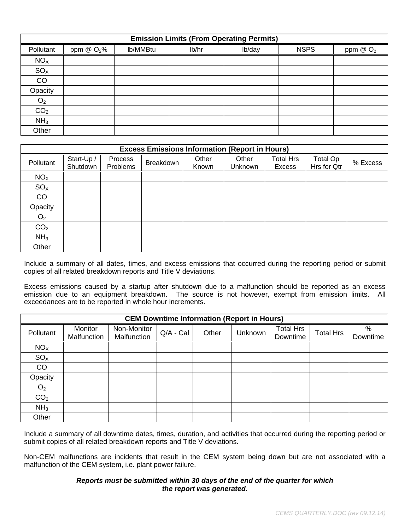| <b>Emission Limits (From Operating Permits)</b> |                    |          |       |        |             |            |  |  |  |  |
|-------------------------------------------------|--------------------|----------|-------|--------|-------------|------------|--|--|--|--|
| Pollutant                                       | ppm $\omega O_2$ % | lb/MMBtu | lb/hr | lb/day | <b>NSPS</b> | ppm $@O_2$ |  |  |  |  |
| NO <sub>X</sub>                                 |                    |          |       |        |             |            |  |  |  |  |
| SO <sub>X</sub>                                 |                    |          |       |        |             |            |  |  |  |  |
| CO                                              |                    |          |       |        |             |            |  |  |  |  |
| Opacity                                         |                    |          |       |        |             |            |  |  |  |  |
| O <sub>2</sub>                                  |                    |          |       |        |             |            |  |  |  |  |
| CO <sub>2</sub>                                 |                    |          |       |        |             |            |  |  |  |  |
| NH <sub>3</sub>                                 |                    |          |       |        |             |            |  |  |  |  |
| Other                                           |                    |          |       |        |             |            |  |  |  |  |

| <b>Excess Emissions Information (Report in Hours)</b> |                        |                     |           |                |                  |                                   |                                |          |  |
|-------------------------------------------------------|------------------------|---------------------|-----------|----------------|------------------|-----------------------------------|--------------------------------|----------|--|
| Pollutant                                             | Start-Up /<br>Shutdown | Process<br>Problems | Breakdown | Other<br>Known | Other<br>Unknown | <b>Total Hrs</b><br><b>Excess</b> | <b>Total Op</b><br>Hrs for Qtr | % Excess |  |
| NO <sub>X</sub>                                       |                        |                     |           |                |                  |                                   |                                |          |  |
| SO <sub>X</sub>                                       |                        |                     |           |                |                  |                                   |                                |          |  |
| CO                                                    |                        |                     |           |                |                  |                                   |                                |          |  |
| Opacity                                               |                        |                     |           |                |                  |                                   |                                |          |  |
| O <sub>2</sub>                                        |                        |                     |           |                |                  |                                   |                                |          |  |
| CO <sub>2</sub>                                       |                        |                     |           |                |                  |                                   |                                |          |  |
| NH <sub>3</sub>                                       |                        |                     |           |                |                  |                                   |                                |          |  |
| Other                                                 |                        |                     |           |                |                  |                                   |                                |          |  |

Include a summary of all dates, times, and excess emissions that occurred during the reporting period or submit copies of all related breakdown reports and Title V deviations.

Excess emissions caused by a startup after shutdown due to a malfunction should be reported as an excess emission due to an equipment breakdown. The source is not however, exempt from emission limits. All exceedances are to be reported in whole hour increments.

| <b>CEM Downtime Information (Report in Hours)</b> |                        |                            |           |       |         |                              |                  |               |  |
|---------------------------------------------------|------------------------|----------------------------|-----------|-------|---------|------------------------------|------------------|---------------|--|
| Pollutant                                         | Monitor<br>Malfunction | Non-Monitor<br>Malfunction | Q/A - Cal | Other | Unknown | <b>Total Hrs</b><br>Downtime | <b>Total Hrs</b> | %<br>Downtime |  |
| NO <sub>X</sub>                                   |                        |                            |           |       |         |                              |                  |               |  |
| SO <sub>X</sub>                                   |                        |                            |           |       |         |                              |                  |               |  |
| CO                                                |                        |                            |           |       |         |                              |                  |               |  |
| Opacity                                           |                        |                            |           |       |         |                              |                  |               |  |
| O <sub>2</sub>                                    |                        |                            |           |       |         |                              |                  |               |  |
| CO <sub>2</sub>                                   |                        |                            |           |       |         |                              |                  |               |  |
| NH <sub>3</sub>                                   |                        |                            |           |       |         |                              |                  |               |  |
| Other                                             |                        |                            |           |       |         |                              |                  |               |  |

Include a summary of all downtime dates, times, duration, and activities that occurred during the reporting period or submit copies of all related breakdown reports and Title V deviations.

Non-CEM malfunctions are incidents that result in the CEM system being down but are not associated with a malfunction of the CEM system, i.e. plant power failure.

## *Reports must be submitted within 30 days of the end of the quarter for which the report was generated.*